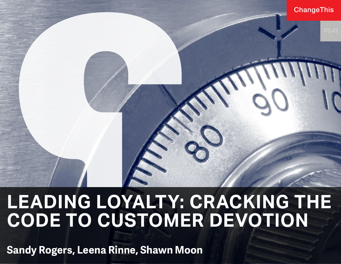#### **ChangeThis**

# **LEADING LOYALTY: CRACKING THE CODE TO CUSTOMER DEVOTION**

**Sandy Rogers, Leena Rinne, Shawn Moon**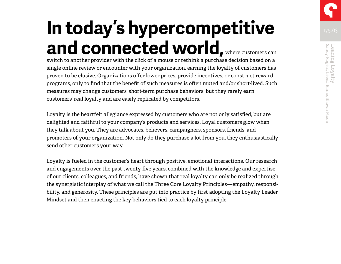# **In today's hypercompetitive and connected world,** where customers can

switch to another provider with the click of a mouse or rethink a purchase decision based on a single online review or encounter with your organization, earning the loyalty of customers has proven to be elusive. Organizations offer lower prices, provide incentives, or construct reward programs, only to find that the benefit of such measures is often muted and/or short-lived. Such measures may change customers' short-term purchase behaviors, but they rarely earn customers' real loyalty and are easily replicated by competitors.

Loyalty is the heartfelt allegiance expressed by customers who are not only satisfied, but are delighted and faithful to your company's products and services. Loyal customers glow when they talk about you. They are advocates, believers, campaigners, sponsors, friends, and promoters of your organization. Not only do they purchase a lot from you, they enthusiastically send other customers your way.

Loyalty is fueled in the customer's heart through positive, emotional interactions. Our research and engagements over the past twenty-five years, combined with the knowledge and expertise of our clients, colleagues, and friends, have shown that real loyalty can only be realized through the synergistic interplay of what we call the Three Core Loyalty Principles—empathy, responsibility, and generosity. These principles are put into practice by first adopting the Loyalty Leader Mindset and then enacting the key behaviors tied to each loyalty principle.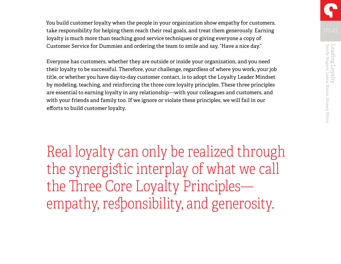You build customer loyalty when the people in your organization show empathy for customers, take responsibility for helping them reach their real goals, and treat them generously. Earning loyalty is much more than teaching good service techniques or giving everyone a copy of Customer Service for Dummies and ordering the team to smile and say, "Have a nice day."

Everyone has customers, whether they are outside or inside your organization, and you need their loyalty to be successful. Therefore, your challenge, regardless of where you work, your job title, or whether you have day-to-day customer contact, is to adopt the Loyalty Leader Mindset by modeling, teaching, and reinforcing the three core loyalty principles. These three principles are essential to earning loyalty in any relationship—with your colleagues and customers, and with your friends and family too. If we ignore or violate these principles, we will fail in our efforts to build customer loyalty.

Real loyalty can only be realized through the synergistic interplay of what we call the Three Core Loyalty Principles empathy, responsibility, and generosity.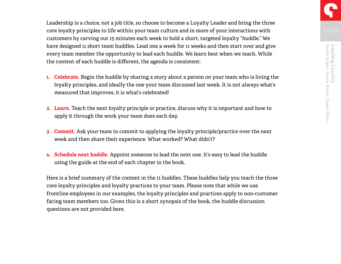Leadership is a choice, not a job title, so choose to become a Loyalty Leader and bring the three core loyalty principles to life within your team culture and in more of your interactions with customers by carving out 15 minutes each week to hold a short, targeted loyalty "huddle." We have designed 11 short team huddles. Lead one a week for 11 weeks and then start over and give every team member the opportunity to lead each huddle. We learn best when we teach. While the content of each huddle is different, the agenda is consistent:

- **1. Celebrate.** Begin the huddle by sharing a story about a person on your team who is living the loyalty principles, and ideally the one your team discussed last week. It is not always what's measured that improves, it is what's celebrated!
- **2. Learn.** Teach the next loyalty principle or practice, discuss why it is important and how to apply it through the work your team does each day.
- **3. Commit.** Ask your team to commit to applying the loyalty principle/practice over the next week and then share their experience. What worked? What didn't?
- **4. Schedule next huddle.** Appoint someone to lead the next one. It's easy to lead the huddle using the guide at the end of each chapter in the book.

Here is a brief summary of the content in the 11 huddles. These huddles help you teach the three core loyalty principles and loyalty practices to your team. Please note that while we use frontline employees in our examples, the loyalty principles and practices apply to non-customer facing team members too. Given this is a short synopsis of the book, the huddle discussion questions are not provided here.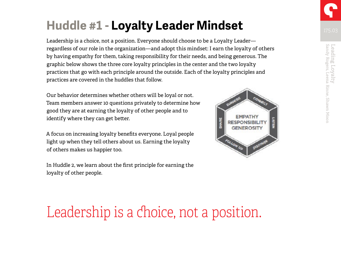# **Huddle #1 - Loyalty Leader Mindset**

Leadership is a choice, not a position. Everyone should choose to be a Loyalty Leader regardless of our role in the organization—and adopt this mindset: I earn the loyalty of others by having empathy for them, taking responsibility for their needs, and being generous. The graphic below shows the three core loyalty principles in the center and the two loyalty practices that go with each principle around the outside. Each of the loyalty principles and practices are covered in the huddles that follow.

Our behavior determines whether others will be loyal or not. Team members answer 10 questions privately to determine how good they are at earning the loyalty of other people and to identify where they can get better.

A focus on increasing loyalty benefits everyone. Loyal people light up when they tell others about us. Earning the loyalty of others makes us happier too.

In Huddle 2, we learn about the first principle for earning the loyalty of other people.



# Leadership is a choice, not a position.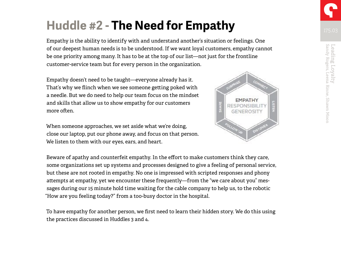# **Huddle #2 - The Need for Empathy**

Empathy is the ability to identify with and understand another's situation or feelings. One of our deepest human needs is to be understood. If we want loyal customers, empathy cannot be one priority among many. It has to be at the top of our list—not just for the frontline customer-service team but for every person in the organization.

Empathy doesn't need to be taught—everyone already has it. That's why we flinch when we see someone getting poked with a needle. But we do need to help our team focus on the mindset and skills that allow us to show empathy for our customers more often.

When someone approaches, we set aside what we're doing, close our laptop, put our phone away, and focus on that person. We listen to them with our eyes, ears, and heart.

EROSIT

Beware of apathy and counterfeit empathy. In the effort to make customers think they care, some organizations set up systems and processes designed to give a feeling of personal service, but these are not rooted in empathy. No one is impressed with scripted responses and phony attempts at empathy, yet we encounter these frequently—from the "we care about you" messages during our 15 minute hold time waiting for the cable company to help us, to the robotic "How are you feeling today?" from a too-busy doctor in the hospital.

To have empathy for another person, we first need to learn their hidden story. We do this using the practices discussed in Huddles 3 and 4.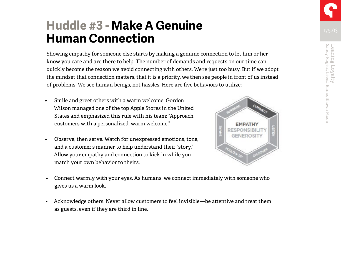### **Huddle #3 - Make A Genuine Human Connection**

Showing empathy for someone else starts by making a genuine connection to let him or her know you care and are there to help. The number of demands and requests on our time can quickly become the reason we avoid connecting with others. We're just too busy. But if we adopt the mindset that connection matters, that it is a priority, we then see people in front of us instead of problems. We see human beings, not hassles. Here are five behaviors to utilize:

- Smile and greet others with a warm welcome. Gordon Wilson managed one of the top Apple Stores in the United States and emphasized this rule with his team: "Approach customers with a personalized, warm welcome."
- Observe, then serve. Watch for unexpressed emotions, tone, and a customer's manner to help understand their "story." Allow your empathy and connection to kick in while you match your own behavior to theirs.



• Acknowledge others. Never allow customers to feel invisible—be attentive and treat them as guests, even if they are third in line.

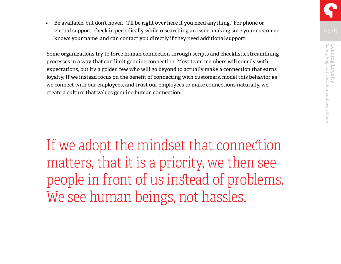• Be available, but don't hover. "I'll be right over here if you need anything." For phone or virtual support, check in periodically while researching an issue, making sure your customer knows your name, and can contact you directly if they need additional support.

Some organizations try to force human connection through scripts and checklists, streamlining processes in a way that can limit genuine connection. Most team members will comply with expectations, but it's a golden few who will go beyond to actually make a connection that earns loyalty. If we instead focus on the benefit of connecting with customers, model this behavior as we connect with our employees, and trust our employees to make connections naturally, we create a culture that values genuine human connection.

If we adopt the mindset that connection matters, that it is a priority, we then see people in front of us instead of problems. We see human beings, not hassles.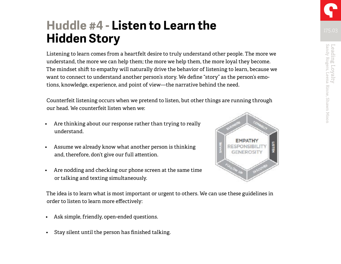### **Huddle #4 - Listen to Learn the Hidden Story**

Listening to learn comes from a heartfelt desire to truly understand other people. The more we understand, the more we can help them; the more we help them, the more loyal they become. The mindset shift to empathy will naturally drive the behavior of listening to learn, because we want to connect to understand another person's story. We define "story" as the person's emotions, knowledge, experience, and point of view—the narrative behind the need.

Counterfeit listening occurs when we pretend to listen, but other things are running through our head. We counterfeit listen when we:

- Are thinking about our response rather than trying to really understand.
- Assume we already know what another person is thinking and, therefore, don't give our full attention.
- Are nodding and checking our phone screen at the same time or talking and texting simultaneously.



The idea is to learn what is most important or urgent to others. We can use these guidelines in order to listen to learn more effectively:

- Ask simple, friendly, open-ended questions.
- Stay silent until the person has finished talking.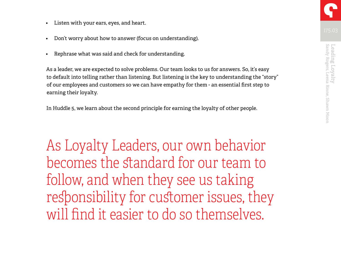- Listen with your ears, eyes, and heart.
- Don't worry about how to answer (focus on understanding).
- Rephrase what was said and check for understanding.

As a leader, we are expected to solve problems. Our team looks to us for answers. So, it's easy to default into telling rather than listening. But listening is the key to understanding the "story" of our employees and customers so we can have empathy for them - an essential first step to earning their loyalty.

In Huddle 5, we learn about the second principle for earning the loyalty of other people.

As Loyalty Leaders, our own behavior becomes the standard for our team to follow, and when they see us taking responsibility for customer issues, they will find it easier to do so themselves.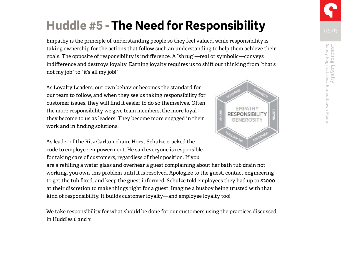## **Huddle #5 - The Need for Responsibility**

Empathy is the principle of understanding people so they feel valued, while responsibility is taking ownership for the actions that follow such an understanding to help them achieve their goals. The opposite of responsibility is indifference. A "shrug"—real or symbolic—conveys indifference and destroys loyalty. Earning loyalty requires us to shift our thinking from "that's not my job" to "it's all my job!"

As Loyalty Leaders, our own behavior becomes the standard for our team to follow, and when they see us taking responsibility for customer issues, they will find it easier to do so themselves. Often the more responsibility we give team members, the more loyal they become to us as leaders. They become more engaged in their work and in finding solutions.

As leader of the Ritz Carlton chain, Horst Schulze cracked the code to employee empowerment. He said everyone is responsible for taking care of customers, regardless of their position. If you

are a refilling a water glass and overhear a guest complaining about her bath tub drain not working, you own this problem until it is resolved. Apologize to the guest, contact engineering to get the tub fixed, and keep the guest informed. Schulze told employees they had up to \$2000 at their discretion to make things right for a guest. Imagine a busboy being trusted with that kind of responsibility. It builds customer loyalty—and employee loyalty too!

We take responsibility for what should be done for our customers using the practices discussed in Huddles 6 and 7.

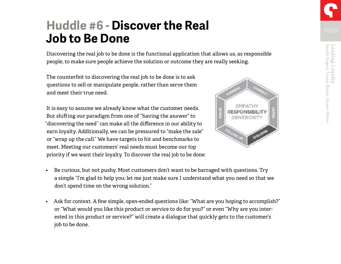Leading Loyalty<br>Sandy Rogers, Leena Rinne, Shawn Moon

Leading Loyalty<br>Sandy Rogers, Leena Rinne, Shawn Moon

### **Huddle #6 - Discover the Real Job to Be Done**

Discovering the real job to be done is the functional application that allows us, as responsible people, to make sure people achieve the solution or outcome they are really seeking.

The counterfeit to discovering the real job to be done is to ask questions to sell or manipulate people, rather than serve them and meet their true need.

It is easy to assume we already know what the customer needs. But shifting our paradigm from one of "having the answer" to "discovering the need" can make all the difference in our ability to earn loyalty. Additionally, we can be pressured to "make the sale" or "wrap up the call." We have targets to hit and benchmarks to meet. Meeting our customers' real needs must become our top priority if we want their loyalty. To discover the real job to be done:



• Ask for context. A few simple, open-ended questions like: "What are you hoping to accomplish?" or "What would you like this product or service to do for you?" or even "Why are you interested in this product or service?" will create a dialogue that quickly gets to the customer's job to be done.

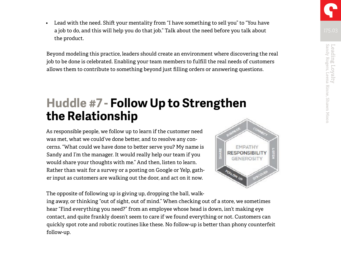• Lead with the need. Shift your mentality from "I have something to sell you" to "You have a job to do, and this will help you do that job." Talk about the need before you talk about the product.

Beyond modeling this practice, leaders should create an environment where discovering the real job to be done is celebrated. Enabling your team members to fulfill the real needs of customers allows them to contribute to something beyond just filling orders or answering questions.

### **Huddle #7 - Follow Up to Strengthen the Relationship**

As responsible people, we follow up to learn if the customer need was met, what we could've done better, and to resolve any concerns. "What could we have done to better serve you? My name is Sandy and I'm the manager. It would really help our team if you would share your thoughts with me." And then, listen to learn. Rather than wait for a survey or a posting on Google or Yelp, gather input as customers are walking out the door, and act on it now.



The opposite of following up is giving up, dropping the ball, walk-

ing away, or thinking "out of sight, out of mind." When checking out of a store, we sometimes hear "Find everything you need?" from an employee whose head is down, isn't making eye contact, and quite frankly doesn't seem to care if we found everything or not. Customers can quickly spot rote and robotic routines like these. No follow-up is better than phony counterfeit follow-up.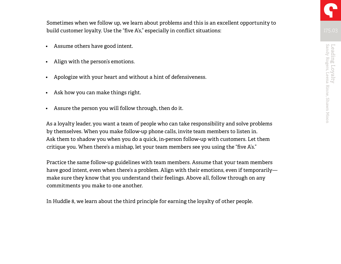Sometimes when we follow up, we learn about problems and this is an excellent opportunity to build customer loyalty. Use the "five A's," especially in conflict situations:

- Assume others have good intent.
- Align with the person's emotions.
- Apologize with your heart and without a hint of defensiveness.
- Ask how you can make things right.
- Assure the person you will follow through, then do it.

As a loyalty leader, you want a team of people who can take responsibility and solve problems by themselves. When you make follow-up phone calls, invite team members to listen in. Ask them to shadow you when you do a quick, in-person follow-up with customers. Let them critique you. When there's a mishap, let your team members see you using the "five A's."

Practice the same follow-up guidelines with team members. Assume that your team members have good intent, even when there's a problem. Align with their emotions, even if temporarily make sure they know that you understand their feelings. Above all, follow through on any commitments you make to one another.

In Huddle 8, we learn about the third principle for earning the loyalty of other people.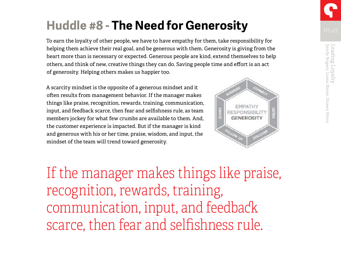## **Huddle #8 - The Need for Generosity**

To earn the loyalty of other people, we have to have empathy for them, take responsibility for helping them achieve their real goal, and be generous with them. Generosity is giving from the heart more than is necessary or expected. Generous people are kind, extend themselves to help others, and think of new, creative things they can do. Saving people time and effort is an act of generosity. Helping others makes us happier too.

A scarcity mindset is the opposite of a generous mindset and it often results from management behavior. If the manager makes things like praise, recognition, rewards, training, communication, input, and feedback scarce, then fear and selfishness rule, as team members jockey for what few crumbs are available to them. And, the customer experience is impacted. But if the manager is kind and generous with his or her time, praise, wisdom, and input, the mindset of the team will trend toward generosity.



If the manager makes things like praise, recognition, rewards, training, communication, input, and feedback scarce, then fear and selfishness rule.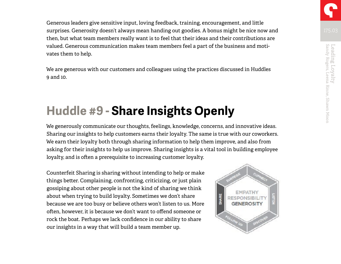Generous leaders give sensitive input, loving feedback, training, encouragement, and little surprises. Generosity doesn't always mean handing out goodies. A bonus might be nice now and then, but what team members really want is to feel that their ideas and their contributions are valued. Generous communication makes team members feel a part of the business and motivates them to help.

We are generous with our customers and colleagues using the practices discussed in Huddles 9 and 10.

# **Huddle #9 - Share Insights Openly**

We generously communicate our thoughts, feelings, knowledge, concerns, and innovative ideas. Sharing our insights to help customers earns their loyalty. The same is true with our coworkers. We earn their loyalty both through sharing information to help them improve, and also from asking for their insights to help us improve. Sharing insights is a vital tool in building employee loyalty, and is often a prerequisite to increasing customer loyalty.

Counterfeit Sharing is sharing without intending to help or make things better. Complaining, confronting, criticizing, or just plain gossiping about other people is not the kind of sharing we think about when trying to build loyalty. Sometimes we don't share because we are too busy or believe others won't listen to us. More often, however, it is because we don't want to offend someone or rock the boat. Perhaps we lack confidence in our ability to share our insights in a way that will build a team member up.



Leading Loyalty<br>Sandy Rogers, Leena Rinne, Shawn Moon

Leading Loyalty<br>Sandy Rogers, Leena Rinne, Shawn Moon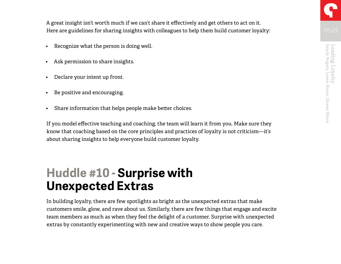A great insight isn't worth much if we can't share it effectively and get others to act on it. Here are guidelines for sharing insights with colleagues to help them build customer loyalty:

- Recognize what the person is doing well.
- Ask permission to share insights.
- Declare your intent up front.
- Be positive and encouraging.
- Share information that helps people make better choices.

If you model effective teaching and coaching, the team will learn it from you. Make sure they know that coaching based on the core principles and practices of loyalty is not criticism—it's about sharing insights to help everyone build customer loyalty.

### **Huddle #10 - Surprise with Unexpected Extras**

In building loyalty, there are few spotlights as bright as the unexpected extras that make customers smile, glow, and rave about us. Similarly, there are few things that engage and excite team members as much as when they feel the delight of a customer. Surprise with unexpected extras by constantly experimenting with new and creative ways to show people you care.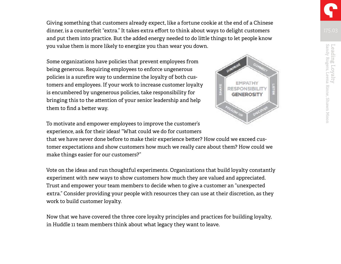Giving something that customers already expect, like a fortune cookie at the end of a Chinese dinner, is a counterfeit "extra." It takes extra effort to think about ways to delight customers and put them into practice. But the added energy needed to do little things to let people know you value them is more likely to energize you than wear you down.

Some organizations have policies that prevent employees from being generous. Requiring employees to enforce ungenerous policies is a surefire way to undermine the loyalty of both customers and employees. If your work to increase customer loyalty is encumbered by ungenerous policies, take responsibility for bringing this to the attention of your senior leadership and help them to find a better way.



To motivate and empower employees to improve the customer's experience, ask for their ideas! "What could we do for customers

that we have never done before to make their experience better? How could we exceed customer expectations and show customers how much we really care about them? How could we make things easier for our customers?"

Vote on the ideas and run thoughtful experiments. Organizations that build loyalty constantly experiment with new ways to show customers how much they are valued and appreciated. Trust and empower your team members to decide when to give a customer an "unexpected extra." Consider providing your people with resources they can use at their discretion, as they work to build customer loyalty.

Now that we have covered the three core loyalty principles and practices for building loyalty, in Huddle 11 team members think about what legacy they want to leave.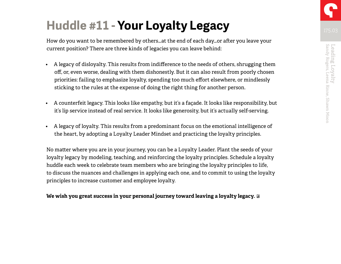# **Huddle #11 - Your Loyalty Legacy**

How do you want to be remembered by others…at the end of each day…or after you leave your current position? There are three kinds of legacies you can leave behind:

- A legacy of disloyalty. This results from indifference to the needs of others, shrugging them off, or, even worse, dealing with them dishonestly. But it can also result from poorly chosen priorities: failing to emphasize loyalty, spending too much effort elsewhere, or mindlessly sticking to the rules at the expense of doing the right thing for another person.
- A counterfeit legacy. This looks like empathy, but it's a façade. It looks like responsibility, but it's lip service instead of real service. It looks like generosity, but it's actually self-serving.
- A legacy of loyalty. This results from a predominant focus on the emotional intelligence of the heart, by adopting a Loyalty Leader Mindset and practicing the loyalty principles.

No matter where you are in your journey, you can be a Loyalty Leader. Plant the seeds of your loyalty legacy by modeling, teaching, and reinforcing the loyalty principles. Schedule a loyalty huddle each week to celebrate team members who are bringing the loyalty principles to life, to discuss the nuances and challenges in applying each one, and to commit to using the loyalty principles to increase customer and employee loyalty.

#### **We wish you great success in your personal journey toward leaving a loyalty legacy.**